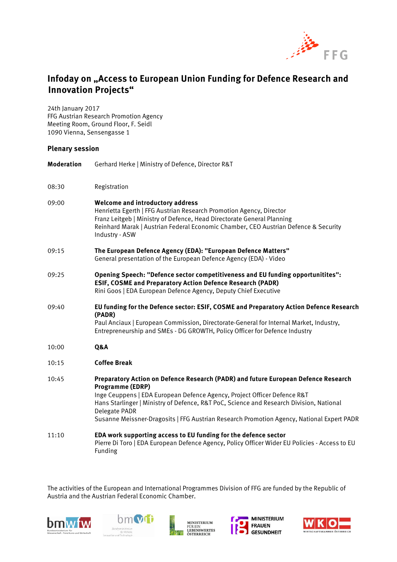

## **Infoday on "Access to European Union Funding for Defence Research and Innovation Projects"**

24th January 2017 FFG Austrian Research Promotion Agency Meeting Room, Ground Floor, F. Seidl 1090 Vienna, Sensengasse 1

## **Plenary session**

| <b>Moderation</b> | Gerhard Herke   Ministry of Defence, Director R&T                                                                                                                                                                                                                                                                                                                                           |
|-------------------|---------------------------------------------------------------------------------------------------------------------------------------------------------------------------------------------------------------------------------------------------------------------------------------------------------------------------------------------------------------------------------------------|
| 08:30             | Registration                                                                                                                                                                                                                                                                                                                                                                                |
| 09:00             | Welcome and introductory address<br>Henrietta Egerth   FFG Austrian Research Promotion Agency, Director<br>Franz Leitgeb   Ministry of Defence, Head Directorate General Planning<br>Reinhard Marak   Austrian Federal Economic Chamber, CEO Austrian Defence & Security<br>Industry - ASW                                                                                                  |
| 09:15             | The European Defence Agency (EDA): "European Defence Matters"<br>General presentation of the European Defence Agency (EDA) - Video                                                                                                                                                                                                                                                          |
| 09:25             | Opening Speech: "Defence sector competitiveness and EU funding opportunitites":<br>ESIF, COSME and Preparatory Action Defence Research (PADR)<br>Rini Goos   EDA European Defence Agency, Deputy Chief Executive                                                                                                                                                                            |
| 09:40             | EU funding for the Defence sector: ESIF, COSME and Preparatory Action Defence Research<br>(PADR)<br>Paul Anciaux   European Commission, Directorate-General for Internal Market, Industry,<br>Entrepreneurship and SMEs - DG GROWTH, Policy Officer for Defence Industry                                                                                                                    |
| 10:00             | Q&A                                                                                                                                                                                                                                                                                                                                                                                         |
| 10:15             | <b>Coffee Break</b>                                                                                                                                                                                                                                                                                                                                                                         |
| 10:45             | Preparatory Action on Defence Research (PADR) and future European Defence Research<br>Programme (EDRP)<br>Inge Ceuppens   EDA European Defence Agency, Project Officer Defence R&T<br>Hans Starlinger   Ministry of Defence, R&T PoC, Science and Research Division, National<br>Delegate PADR<br>Susanne Meissner-Dragosits   FFG Austrian Research Promotion Agency, National Expert PADR |
| 11:10             | EDA work supporting access to EU funding for the defence sector<br>Pierre Di Toro   EDA European Defence Agency, Policy Officer Wider EU Policies - Access to EU                                                                                                                                                                                                                            |

The activities of the European and International Programmes Division of FFG are funded by the Republic of Austria and the Austrian Federal Economic Chamber.





Funding